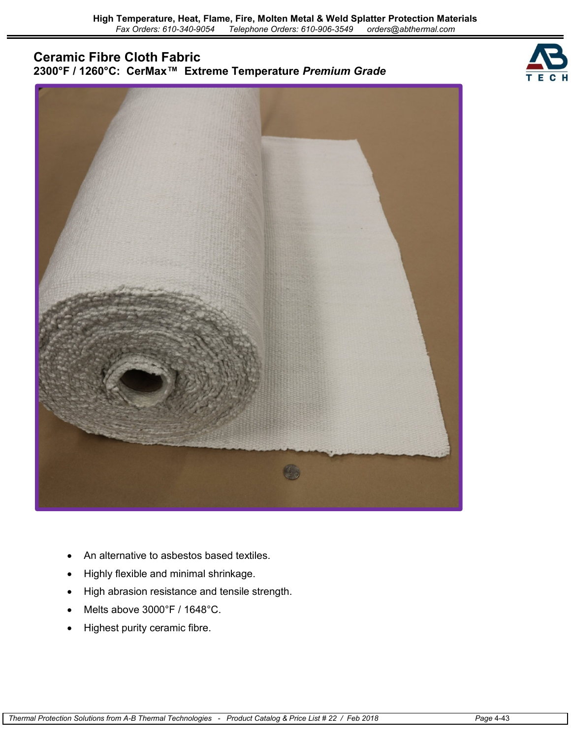# **Ceramic Fibre Cloth Fabric 2300°F / 1260°C: CerMax™ Extreme Temperature** *Premium Grade*





- An alternative to asbestos based textiles.
- Highly flexible and minimal shrinkage.
- High abrasion resistance and tensile strength.
- Melts above 3000°F / 1648°C.
- Highest purity ceramic fibre.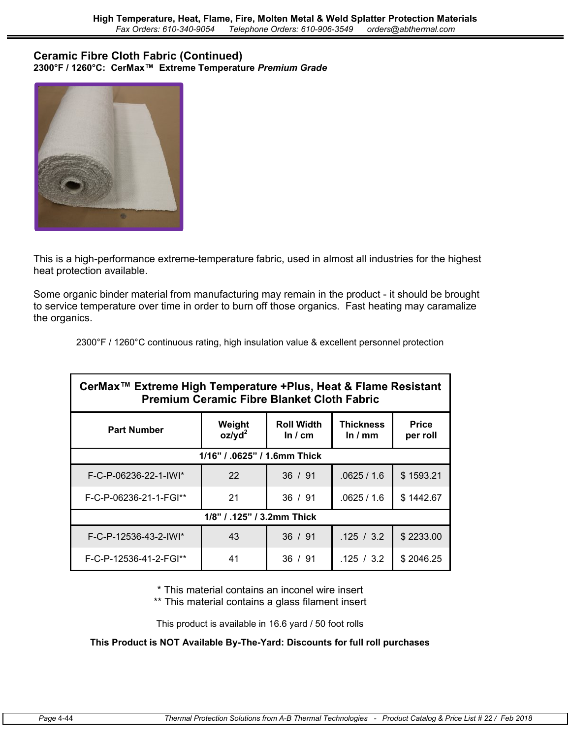#### **Ceramic Fibre Cloth Fabric (Continued) 2300°F / 1260°C: CerMax™ Extreme Temperature** *Premium Grade*



This is a high-performance extreme-temperature fabric, used in almost all industries for the highest heat protection available.

Some organic binder material from manufacturing may remain in the product - it should be brought to service temperature over time in order to burn off those organics. Fast heating may caramalize the organics.

2300°F / 1260°C continuous rating, high insulation value & excellent personnel protection

| CerMax <sup>™</sup> Extreme High Temperature +Plus, Heat & Flame Resistant<br><b>Premium Ceramic Fibre Blanket Cloth Fabric</b> |                     |                                     |                               |                          |  |  |  |  |
|---------------------------------------------------------------------------------------------------------------------------------|---------------------|-------------------------------------|-------------------------------|--------------------------|--|--|--|--|
| <b>Part Number</b>                                                                                                              | Weight<br>$oz/yd^2$ | <b>Roll Width</b><br>In $\prime$ cm | <b>Thickness</b><br>In $/$ mm | <b>Price</b><br>per roll |  |  |  |  |
| 1/16" / .0625" / 1.6mm Thick                                                                                                    |                     |                                     |                               |                          |  |  |  |  |
| F-C-P-06236-22-1-IWI*                                                                                                           | 22                  | 36 / 91                             | .0625/1.6                     | \$1593.21                |  |  |  |  |
| F-C-P-06236-21-1-FGI**                                                                                                          | 21                  | 36 / 91                             | .0625/1.6                     | \$1442.67                |  |  |  |  |
| 1/8" / .125" / 3.2mm Thick                                                                                                      |                     |                                     |                               |                          |  |  |  |  |
| F-C-P-12536-43-2-IWI*                                                                                                           | 43                  | 36 / 91                             | .125 / 3.2                    | \$2233.00                |  |  |  |  |
| F-C-P-12536-41-2-FGI**                                                                                                          | 41                  | 36 / 91                             | .125 / 3.2                    | \$2046.25                |  |  |  |  |

\* This material contains an inconel wire insert

\*\* This material contains a glass filament insert

This product is available in 16.6 yard / 50 foot rolls

### **This Product is NOT Available By-The-Yard: Discounts for full roll purchases**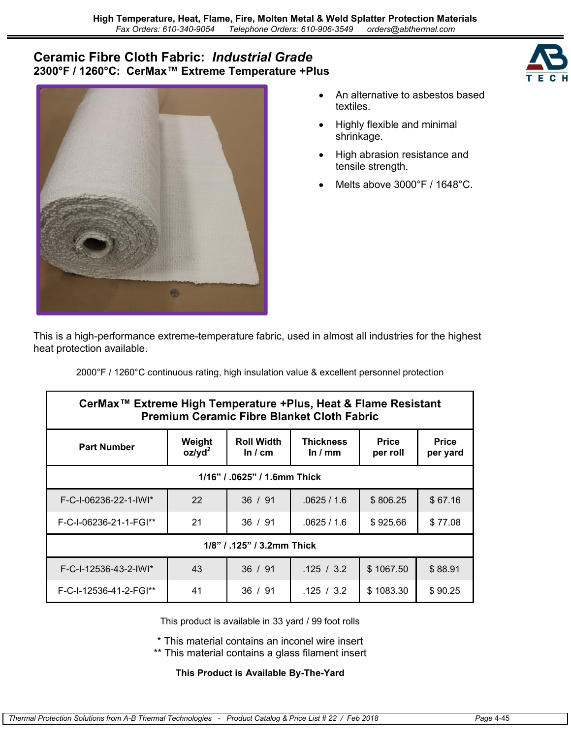## **Ceramic Fibre Cloth Fabric:** *Industrial Grade* **2300°F / 1260°C: CerMax™ Extreme Temperature +Plus**



- An alternative to asbestos based textiles.
- Highly flexible and minimal shrinkage.
- High abrasion resistance and tensile strength.
- Melts above 3000°F / 1648°C.

This is a high-performance extreme-temperature fabric, used in almost all industries for the highest heat protection available.

2000°F / 1260°C continuous rating, high insulation value & excellent personnel protection

| CerMax <sup>™</sup> Extreme High Temperature +Plus, Heat & Flame Resistant<br><b>Premium Ceramic Fibre Blanket Cloth Fabric</b> |                     |                                     |                               |                          |                          |  |  |  |
|---------------------------------------------------------------------------------------------------------------------------------|---------------------|-------------------------------------|-------------------------------|--------------------------|--------------------------|--|--|--|
| <b>Part Number</b>                                                                                                              | Weight<br>$oz/yd^2$ | <b>Roll Width</b><br>In $\prime$ cm | <b>Thickness</b><br>In $/$ mm | <b>Price</b><br>per roll | <b>Price</b><br>per yard |  |  |  |
| 1/16" / .0625" / 1.6mm Thick                                                                                                    |                     |                                     |                               |                          |                          |  |  |  |
| F-C-I-06236-22-1-IWI*                                                                                                           | 22                  | 36 / 91                             | .0625/1.6                     | \$806.25                 | \$67.16                  |  |  |  |
| F-C-I-06236-21-1-FGI**                                                                                                          | 21                  | 36 / 91                             | .0625/1.6                     | \$925.66                 | \$77.08                  |  |  |  |
| 1/8" / .125" / 3.2mm Thick                                                                                                      |                     |                                     |                               |                          |                          |  |  |  |
| F-C-I-12536-43-2-IWI*                                                                                                           | 43                  | 36 / 91                             | .125 / 3.2                    | \$1067.50                | \$88.91                  |  |  |  |
| F-C-I-12536-41-2-FGI**                                                                                                          | 41                  | 36 / 91                             | .125 / 3.2                    | \$1083.30                | \$90.25                  |  |  |  |

This product is available in 33 yard / 99 foot rolls

\* This material contains an inconel wire insert

\*\* This material contains a glass filament insert

### **This Product is Available By-The-Yard**